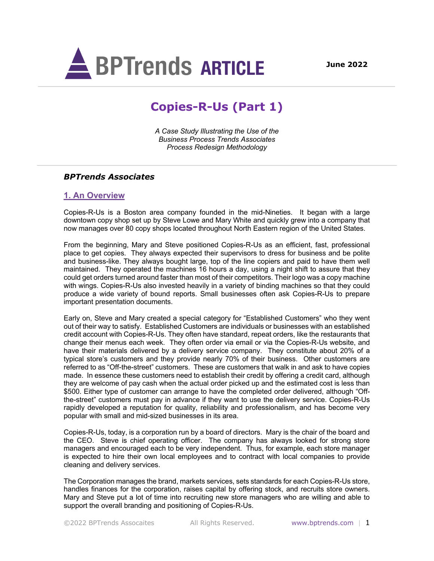

# **Copies-R-Us (Part 1)**

*A Case Study Illustrating the Use of the Business Process Trends Associates Process Redesign Methodology*

# *BPTrends Associates*

### **1. An Overview**

Copies-R-Us is a Boston area company founded in the mid-Nineties. It began with a large downtown copy shop set up by Steve Lowe and Mary White and quickly grew into a company that now manages over 80 copy shops located throughout North Eastern region of the United States.

From the beginning, Mary and Steve positioned Copies-R-Us as an efficient, fast, professional place to get copies. They always expected their supervisors to dress for business and be polite and business-like. They always bought large, top of the line copiers and paid to have them well maintained. They operated the machines 16 hours a day, using a night shift to assure that they could get orders turned around faster than most of their competitors. Their logo was a copy machine with wings. Copies-R-Us also invested heavily in a variety of binding machines so that they could produce a wide variety of bound reports. Small businesses often ask Copies-R-Us to prepare important presentation documents.

Early on, Steve and Mary created a special category for "Established Customers" who they went out of their way to satisfy. Established Customers are individuals or businesses with an established credit account with Copies-R-Us. They often have standard, repeat orders, like the restaurants that change their menus each week. They often order via email or via the Copies-R-Us website, and have their materials delivered by a delivery service company. They constitute about 20% of a typical store's customers and they provide nearly 70% of their business. Other customers are referred to as "Off-the-street" customers. These are customers that walk in and ask to have copies made. In essence these customers need to establish their credit by offering a credit card, although they are welcome of pay cash when the actual order picked up and the estimated cost is less than \$500. Either type of customer can arrange to have the completed order delivered, although "Offthe-street" customers must pay in advance if they want to use the delivery service. Copies-R-Us rapidly developed a reputation for quality, reliability and professionalism, and has become very popular with small and mid-sized businesses in its area.

Copies-R-Us, today, is a corporation run by a board of directors. Mary is the chair of the board and the CEO. Steve is chief operating officer. The company has always looked for strong store managers and encouraged each to be very independent. Thus, for example, each store manager is expected to hire their own local employees and to contract with local companies to provide cleaning and delivery services.

The Corporation manages the brand, markets services, sets standards for each Copies-R-Us store, handles finances for the corporation, raises capital by offering stock, and recruits store owners. Mary and Steve put a lot of time into recruiting new store managers who are willing and able to support the overall branding and positioning of Copies-R-Us.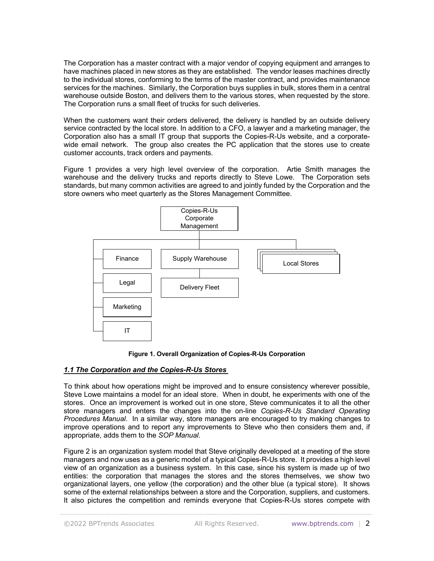The Corporation has a master contract with a major vendor of copying equipment and arranges to have machines placed in new stores as they are established. The vendor leases machines directly to the individual stores, conforming to the terms of the master contract, and provides maintenance services for the machines. Similarly, the Corporation buys supplies in bulk, stores them in a central warehouse outside Boston, and delivers them to the various stores, when requested by the store. The Corporation runs a small fleet of trucks for such deliveries.

When the customers want their orders delivered, the delivery is handled by an outside delivery service contracted by the local store. In addition to a CFO, a lawyer and a marketing manager, the Corporation also has a small IT group that supports the Copies-R-Us website, and a corporatewide email network. The group also creates the PC application that the stores use to create customer accounts, track orders and payments.

Figure 1 provides a very high level overview of the corporation. Artie Smith manages the warehouse and the delivery trucks and reports directly to Steve Lowe. The Corporation sets standards, but many common activities are agreed to and jointly funded by the Corporation and the store owners who meet quarterly as the Stores Management Committee.



**Figure 1. Overall Organization of Copies-R-Us Corporation**

# *1.1 The Corporation and the Copies-R-Us Stores*

To think about how operations might be improved and to ensure consistency wherever possible, Steve Lowe maintains a model for an ideal store. When in doubt, he experiments with one of the stores. Once an improvement is worked out in one store, Steve communicates it to all the other store managers and enters the changes into the on-line *Copies-R-Us Standard Operating Procedures Manual*. In a similar way, store managers are encouraged to try making changes to improve operations and to report any improvements to Steve who then considers them and, if appropriate, adds them to the *SOP Manual*.

Figure 2 is an organization system model that Steve originally developed at a meeting of the store managers and now uses as a generic model of a typical Copies-R-Us store. It provides a high level view of an organization as a business system. In this case, since his system is made up of two entities: the corporation that manages the stores and the stores themselves, we show two organizational layers, one yellow (the corporation) and the other blue (a typical store). It shows some of the external relationships between a store and the Corporation, suppliers, and customers. It also pictures the competition and reminds everyone that Copies-R-Us stores compete with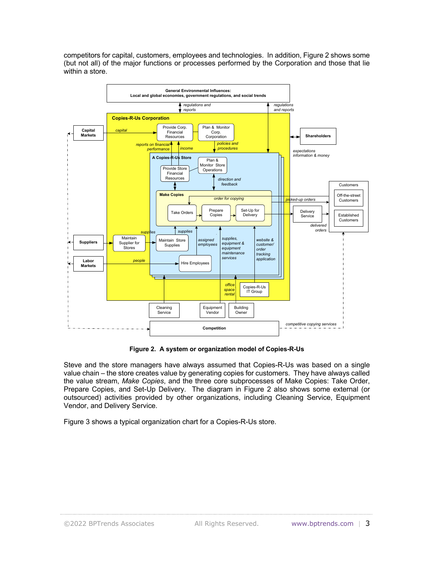competitors for capital, customers, employees and technologies. In addition, Figure 2 shows some (but not all) of the major functions or processes performed by the Corporation and those that lie within a store.



**Figure 2. A system or organization model of Copies-R-Us**

Steve and the store managers have always assumed that Copies-R-Us was based on a single value chain – the store creates value by generating copies for customers. They have always called the value stream, *Make Copies*, and the three core subprocesses of Make Copies: Take Order, Prepare Copies, and Set-Up Delivery. The diagram in Figure 2 also shows some external (or outsourced) activities provided by other organizations, including Cleaning Service, Equipment Vendor, and Delivery Service.

Figure 3 shows a typical organization chart for a Copies-R-Us store.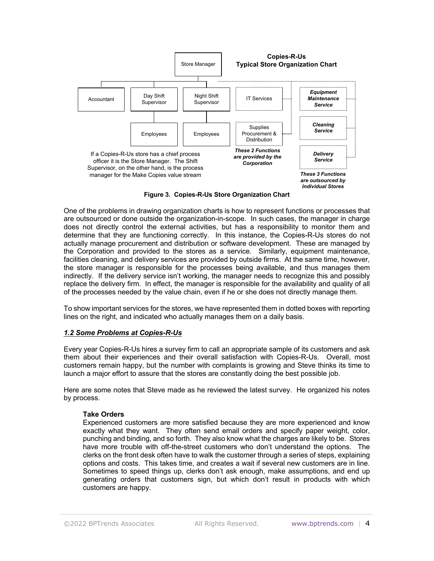

**Figure 3. Copies-R-Us Store Organization Chart**

One of the problems in drawing organization charts is how to represent functions or processes that are outsourced or done outside the organization-in-scope. In such cases, the manager in charge does not directly control the external activities, but has a responsibility to monitor them and determine that they are functioning correctly. In this instance, the Copies-R-Us stores do not actually manage procurement and distribution or software development. These are managed by the Corporation and provided to the stores as a service. Similarly, equipment maintenance, facilities cleaning, and delivery services are provided by outside firms. At the same time, however, the store manager is responsible for the processes being available, and thus manages them indirectly. If the delivery service isn't working, the manager needs to recognize this and possibly replace the delivery firm. In effect, the manager is responsible for the availability and quality of all of the processes needed by the value chain, even if he or she does not directly manage them.

To show important services for the stores, we have represented them in dotted boxes with reporting lines on the right, and indicated who actually manages them on a daily basis.

### *1.2 Some Problems at Copies-R-Us*

Every year Copies-R-Us hires a survey firm to call an appropriate sample of its customers and ask them about their experiences and their overall satisfaction with Copies-R-Us. Overall, most customers remain happy, but the number with complaints is growing and Steve thinks its time to launch a major effort to assure that the stores are constantly doing the best possible job.

Here are some notes that Steve made as he reviewed the latest survey. He organized his notes by process.

#### **Take Orders**

Experienced customers are more satisfied because they are more experienced and know exactly what they want. They often send email orders and specify paper weight, color, punching and binding, and so forth. They also know what the charges are likely to be. Stores have more trouble with off-the-street customers who don't understand the options. The clerks on the front desk often have to walk the customer through a series of steps, explaining options and costs. This takes time, and creates a wait if several new customers are in line. Sometimes to speed things up, clerks don't ask enough, make assumptions, and end up generating orders that customers sign, but which don't result in products with which customers are happy.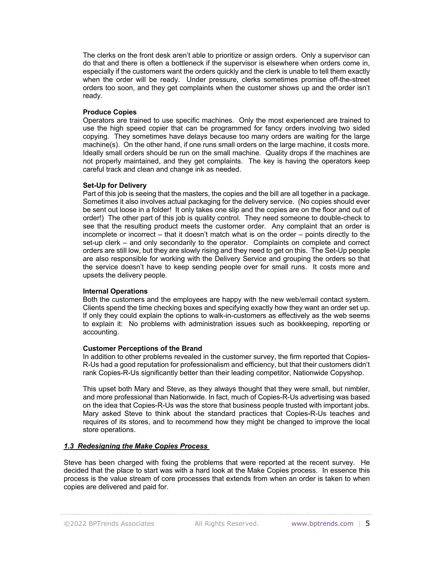The clerks on the front desk aren't able to prioritize or assign orders. Only a supervisor can do that and there is often a bottleneck if the supervisor is elsewhere when orders come in, especially if the customers want the orders quickly and the clerk is unable to tell them exactly when the order will be ready. Under pressure, clerks sometimes promise off-the-street orders too soon, and they get complaints when the customer shows up and the order isn't ready.

### **Produce Copies**

Operators are trained to use specific machines. Only the most experienced are trained to use the high speed copier that can be programmed for fancy orders involving two sided copying. They sometimes have delays because too many orders are waiting for the large machine(s). On the other hand, if one runs small orders on the large machine, it costs more. Ideally small orders should be run on the small machine. Quality drops if the machines are not properly maintained, and they get complaints. The key is having the operators keep careful track and clean and change ink as needed.

### **Set-Up for Delivery**

Part of this job is seeing that the masters, the copies and the bill are all together in a package. Sometimes it also involves actual packaging for the delivery service. (No copies should ever be sent out loose in a folder! It only takes one slip and the copies are on the floor and out of order!) The other part of this job is quality control. They need someone to double-check to see that the resulting product meets the customer order. Any complaint that an order is incomplete or incorrect – that it doesn't match what is on the order – points directly to the set-up clerk – and only secondarily to the operator. Complaints on complete and correct orders are still low, but they are slowly rising and they need to get on this. The Set-Up people are also responsible for working with the Delivery Service and grouping the orders so that the service doesn't have to keep sending people over for small runs. It costs more and upsets the delivery people.

#### **Internal Operations**

Both the customers and the employees are happy with the new web/email contact system. Clients spend the time checking boxes and specifying exactly how they want an order set up. If only they could explain the options to walk-in-customers as effectively as the web seems to explain it: No problems with administration issues such as bookkeeping, reporting or accounting.

#### **Customer Perceptions of the Brand**

In addition to other problems revealed in the customer survey, the firm reported that Copies-R-Us had a good reputation for professionalism and efficiency, but that their customers didn't rank Copies-R-Us significantly better than their leading competitor, Nationwide Copyshop.

This upset both Mary and Steve, as they always thought that they were small, but nimbler, and more professional than Nationwide. In fact, much of Copies-R-Us advertising was based on the idea that Copies-R-Us was the store that business people trusted with important jobs. Mary asked Steve to think about the standard practices that Copies-R-Us teaches and requires of its stores, and to recommend how they might be changed to improve the local store operations.

### *1.3 Redesigning the Make Copies Process*

Steve has been charged with fixing the problems that were reported at the recent survey. He decided that the place to start was with a hard look at the Make Copies process. In essence this process is the value stream of core processes that extends from when an order is taken to when copies are delivered and paid for.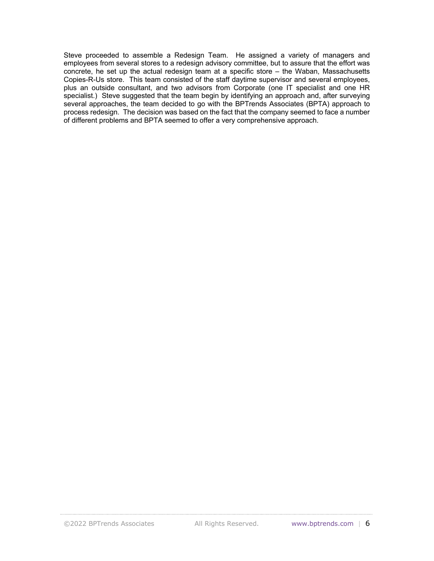Steve proceeded to assemble a Redesign Team. He assigned a variety of managers and employees from several stores to a redesign advisory committee, but to assure that the effort was concrete, he set up the actual redesign team at a specific store – the Waban, Massachusetts Copies-R-Us store. This team consisted of the staff daytime supervisor and several employees, plus an outside consultant, and two advisors from Corporate (one IT specialist and one HR specialist.) Steve suggested that the team begin by identifying an approach and, after surveying several approaches, the team decided to go with the BPTrends Associates (BPTA) approach to process redesign. The decision was based on the fact that the company seemed to face a number of different problems and BPTA seemed to offer a very comprehensive approach.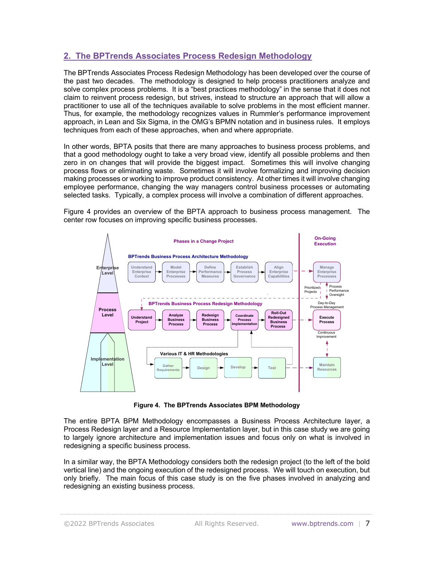# **2. The BPTrends Associates Process Redesign Methodology**

The BPTrends Associates Process Redesign Methodology has been developed over the course of the past two decades. The methodology is designed to help process practitioners analyze and solve complex process problems. It is a "best practices methodology" in the sense that it does not claim to reinvent process redesign, but strives, instead to structure an approach that will allow a practitioner to use all of the techniques available to solve problems in the most efficient manner. Thus, for example, the methodology recognizes values in Rummler's performance improvement approach, in Lean and Six Sigma, in the OMG's BPMN notation and in business rules. It employs techniques from each of these approaches, when and where appropriate.

In other words, BPTA posits that there are many approaches to business process problems, and that a good methodology ought to take a very broad view, identify all possible problems and then zero in on changes that will provide the biggest impact. Sometimes this will involve changing process flows or eliminating waste. Sometimes it will involve formalizing and improving decision making processes or working to improve product consistency. At other times it will involve changing employee performance, changing the way managers control business processes or automating selected tasks. Typically, a complex process will involve a combination of different approaches.

Figure 4 provides an overview of the BPTA approach to business process management. The center row focuses on improving specific business processes.



**Figure 4. The BPTrends Associates BPM Methodology**

The entire BPTA BPM Methodology encompasses a Business Process Architecture layer, a Process Redesign layer and a Resource Implementation layer, but in this case study we are going to largely ignore architecture and implementation issues and focus only on what is involved in redesigning a specific business process.

In a similar way, the BPTA Methodology considers both the redesign project (to the left of the bold vertical line) and the ongoing execution of the redesigned process. We will touch on execution, but only briefly. The main focus of this case study is on the five phases involved in analyzing and redesigning an existing business process.

©2022 BPTrends Associates All Rights Reserved. www.bptrends.com | 7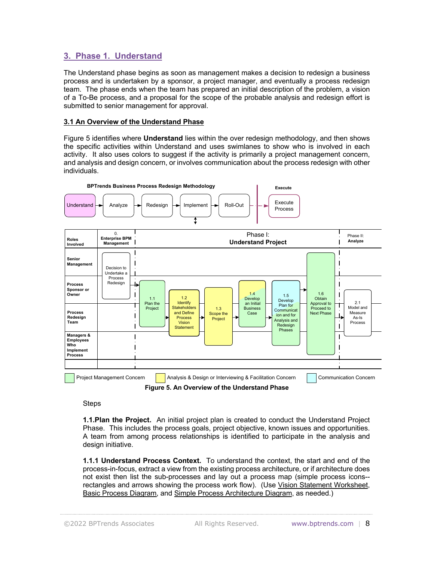# **3. Phase 1. Understand**

The Understand phase begins as soon as management makes a decision to redesign a business process and is undertaken by a sponsor, a project manager, and eventually a process redesign team. The phase ends when the team has prepared an initial description of the problem, a vision of a To-Be process, and a proposal for the scope of the probable analysis and redesign effort is submitted to senior management for approval.

### **3.1 An Overview of the Understand Phase**

Figure 5 identifies where **Understand** lies within the over redesign methodology, and then shows the specific activities within Understand and uses swimlanes to show who is involved in each activity. It also uses colors to suggest if the activity is primarily a project management concern, and analysis and design concern, or involves communication about the process redesign with other individuals.



**Figure 5. An Overview of the Understand Phase**

**Steps** 

**1.1.Plan the Project.** An initial project plan is created to conduct the Understand Project Phase. This includes the process goals, project objective, known issues and opportunities. A team from among process relationships is identified to participate in the analysis and design initiative.

**1.1.1 Understand Process Context.** To understand the context, the start and end of the process-in-focus, extract a view from the existing process architecture, or if architecture does not exist then list the sub-processes and lay out a process map (simple process icons- rectangles and arrows showing the process work flow). (Use Vision Statement Worksheet, Basic Process Diagram, and Simple Process Architecture Diagram, as needed.)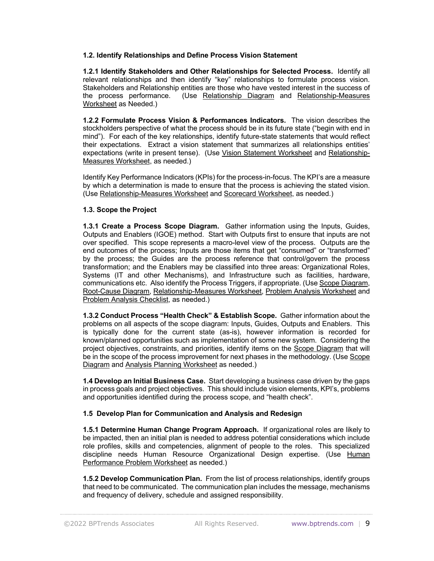### **1.2. Identify Relationships and Define Process Vision Statement**

**1.2.1 Identify Stakeholders and Other Relationships for Selected Process.** Identify all relevant relationships and then identify "key" relationships to formulate process vision. Stakeholders and Relationship entities are those who have vested interest in the success of the process performance. (Use Relationship Diagram and Relationship-Measures Worksheet as Needed.)

**1.2.2 Formulate Process Vision & Performances Indicators.** The vision describes the stockholders perspective of what the process should be in its future state ("begin with end in mind"). For each of the key relationships, identify future-state statements that would reflect their expectations. Extract a vision statement that summarizes all relationships entities' expectations (write in present tense). (Use Vision Statement Worksheet and Relationship-Measures Worksheet, as needed.)

Identify Key Performance Indicators (KPIs) for the process-in-focus. The KPI's are a measure by which a determination is made to ensure that the process is achieving the stated vision. (Use Relationship-Measures Worksheet and Scorecard Worksheet, as needed.)

### **1.3. Scope the Project**

**1.3.1 Create a Process Scope Diagram.** Gather information using the Inputs, Guides, Outputs and Enablers (IGOE) method. Start with Outputs first to ensure that inputs are not over specified. This scope represents a macro-level view of the process. Outputs are the end outcomes of the process; Inputs are those items that get "consumed" or "transformed" by the process; the Guides are the process reference that control/govern the process transformation; and the Enablers may be classified into three areas: Organizational Roles, Systems (IT and other Mechanisms), and Infrastructure such as facilities, hardware, communications etc. Also identify the Process Triggers, if appropriate. (Use Scope Diagram, Root-Cause Diagram, Relationship-Measures Worksheet, Problem Analysis Worksheet and Problem Analysis Checklist, as needed.)

**1.3.2 Conduct Process "Health Check" & Establish Scope.** Gather information about the problems on all aspects of the scope diagram: Inputs, Guides, Outputs and Enablers. This is typically done for the current state (as-is), however information is recorded for known/planned opportunities such as implementation of some new system. Considering the project objectives, constraints, and priorities, identify items on the Scope Diagram that will be in the scope of the process improvement for next phases in the methodology. (Use Scope Diagram and Analysis Planning Worksheet as needed.)

**1.4 Develop an Initial Business Case.** Start developing a business case driven by the gaps in process goals and project objectives. This should include vision elements, KPI's, problems and opportunities identified during the process scope, and "health check".

### **1.5 Develop Plan for Communication and Analysis and Redesign**

**1.5.1 Determine Human Change Program Approach.** If organizational roles are likely to be impacted, then an initial plan is needed to address potential considerations which include role profiles, skills and competencies, alignment of people to the roles. This specialized discipline needs Human Resource Organizational Design expertise. (Use Human Performance Problem Worksheet as needed.)

**1.5.2 Develop Communication Plan.** From the list of process relationships, identify groups that need to be communicated. The communication plan includes the message, mechanisms and frequency of delivery, schedule and assigned responsibility.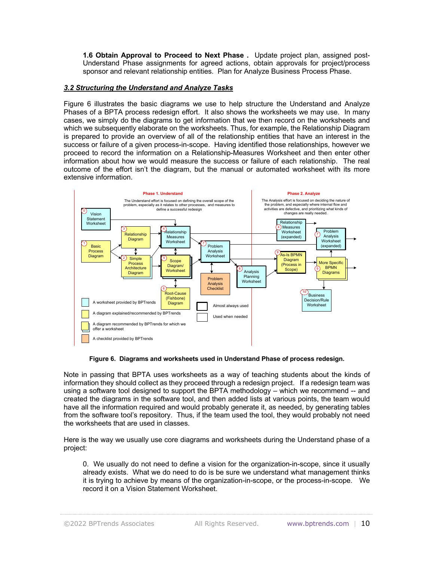**1.6 Obtain Approval to Proceed to Next Phase .** Update project plan, assigned post-Understand Phase assignments for agreed actions, obtain approvals for project/process sponsor and relevant relationship entities. Plan for Analyze Business Process Phase.

### *3.2 Structuring the Understand and Analyze Tasks*

Figure 6 illustrates the basic diagrams we use to help structure the Understand and Analyze Phases of a BPTA process redesign effort. It also shows the worksheets we may use. In many cases, we simply do the diagrams to get information that we then record on the worksheets and which we subsequently elaborate on the worksheets. Thus, for example, the Relationship Diagram is prepared to provide an overview of all of the relationship entities that have an interest in the success or failure of a given process-in-scope. Having identified those relationships, however we proceed to record the information on a Relationship-Measures Worksheet and then enter other information about how we would measure the success or failure of each relationship. The real outcome of the effort isn't the diagram, but the manual or automated worksheet with its more extensive information.



**Figure 6. Diagrams and worksheets used in Understand Phase of process redesign.**

Note in passing that BPTA uses worksheets as a way of teaching students about the kinds of information they should collect as they proceed through a redesign project. If a redesign team was using a software tool designed to support the BPTA methodology – which we recommend -- and created the diagrams in the software tool, and then added lists at various points, the team would have all the information required and would probably generate it, as needed, by generating tables from the software tool's repository. Thus, if the team used the tool, they would probably not need the worksheets that are used in classes.

Here is the way we usually use core diagrams and worksheets during the Understand phase of a project:

0. We usually do not need to define a vision for the organization-in-scope, since it usually already exists. What we do need to do is be sure we understand what management thinks it is trying to achieve by means of the organization-in-scope, or the process-in-scope. We record it on a Vision Statement Worksheet.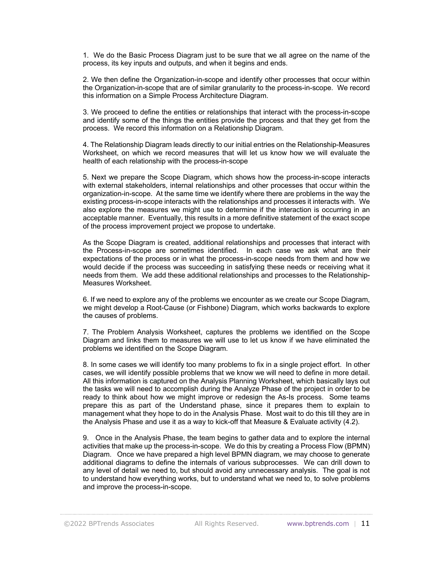1. We do the Basic Process Diagram just to be sure that we all agree on the name of the process, its key inputs and outputs, and when it begins and ends.

2. We then define the Organization-in-scope and identify other processes that occur within the Organization-in-scope that are of similar granularity to the process-in-scope. We record this information on a Simple Process Architecture Diagram.

3. We proceed to define the entities or relationships that interact with the process-in-scope and identify some of the things the entities provide the process and that they get from the process. We record this information on a Relationship Diagram.

4. The Relationship Diagram leads directly to our initial entries on the Relationship-Measures Worksheet, on which we record measures that will let us know how we will evaluate the health of each relationship with the process-in-scope

5. Next we prepare the Scope Diagram, which shows how the process-in-scope interacts with external stakeholders, internal relationships and other processes that occur within the organization-in-scope. At the same time we identify where there are problems in the way the existing process-in-scope interacts with the relationships and processes it interacts with. We also explore the measures we might use to determine if the interaction is occurring in an acceptable manner. Eventually, this results in a more definitive statement of the exact scope of the process improvement project we propose to undertake.

As the Scope Diagram is created, additional relationships and processes that interact with the Process-in-scope are sometimes identified. In each case we ask what are their expectations of the process or in what the process-in-scope needs from them and how we would decide if the process was succeeding in satisfying these needs or receiving what it needs from them. We add these additional relationships and processes to the Relationship-Measures Worksheet.

6. If we need to explore any of the problems we encounter as we create our Scope Diagram, we might develop a Root-Cause (or Fishbone) Diagram, which works backwards to explore the causes of problems.

7. The Problem Analysis Worksheet, captures the problems we identified on the Scope Diagram and links them to measures we will use to let us know if we have eliminated the problems we identified on the Scope Diagram.

8. In some cases we will identify too many problems to fix in a single project effort. In other cases, we will identify possible problems that we know we will need to define in more detail. All this information is captured on the Analysis Planning Worksheet, which basically lays out the tasks we will need to accomplish during the Analyze Phase of the project in order to be ready to think about how we might improve or redesign the As-Is process. Some teams prepare this as part of the Understand phase, since it prepares them to explain to management what they hope to do in the Analysis Phase. Most wait to do this till they are in the Analysis Phase and use it as a way to kick-off that Measure & Evaluate activity (4.2).

9. Once in the Analysis Phase, the team begins to gather data and to explore the internal activities that make up the process-in-scope. We do this by creating a Process Flow (BPMN) Diagram. Once we have prepared a high level BPMN diagram, we may choose to generate additional diagrams to define the internals of various subprocesses. We can drill down to any level of detail we need to, but should avoid any unnecessary analysis. The goal is not to understand how everything works, but to understand what we need to, to solve problems and improve the process-in-scope.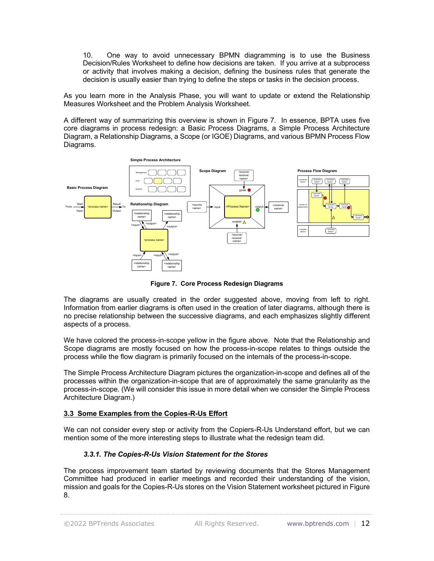10. One way to avoid unnecessary BPMN diagramming is to use the Business Decision/Rules Worksheet to define how decisions are taken. If you arrive at a subprocess or activity that involves making a decision, defining the business rules that generate the decision is usually easier than trying to define the steps or tasks in the decision process.

As you learn more in the Analysis Phase, you will want to update or extend the Relationship Measures Worksheet and the Problem Analysis Worksheet.

A different way of summarizing this overview is shown in Figure 7. In essence, BPTA uses five core diagrams in process redesign: a Basic Process Diagrams, a Simple Process Architecture Diagram, a Relationship Diagrams, a Scope (or IGOE) Diagrams, and various BPMN Process Flow Diagrams.



**Figure 7. Core Process Redesign Diagrams**

The diagrams are usually created in the order suggested above, moving from left to right. Information from earlier diagrams is often used in the creation of later diagrams, although there is no precise relationship between the successive diagrams, and each emphasizes slightly different aspects of a process.

We have colored the process-in-scope yellow in the figure above. Note that the Relationship and Scope diagrams are mostly focused on how the process-in-scope relates to things outside the process while the flow diagram is primarily focused on the internals of the process-in-scope.

The Simple Process Architecture Diagram pictures the organization-in-scope and defines all of the processes within the organization-in-scope that are of approximately the same granularity as the process-in-scope. (We will consider this issue in more detail when we consider the Simple Process Architecture Diagram.)

### **3.3 Some Examples from the Copies-R-Us Effort**

We can not consider every step or activity from the Copiers-R-Us Understand effort, but we can mention some of the more interesting steps to illustrate what the redesign team did.

# *3.3.1. The Copies-R-Us Vision Statement for the Stores*

The process improvement team started by reviewing documents that the Stores Management Committee had produced in earlier meetings and recorded their understanding of the vision, mission and goals for the Copies-R-Us stores on the Vision Statement worksheet pictured in Figure 8.

©2022 BPTrends Associates All Rights Reserved. www.bptrends.com | 12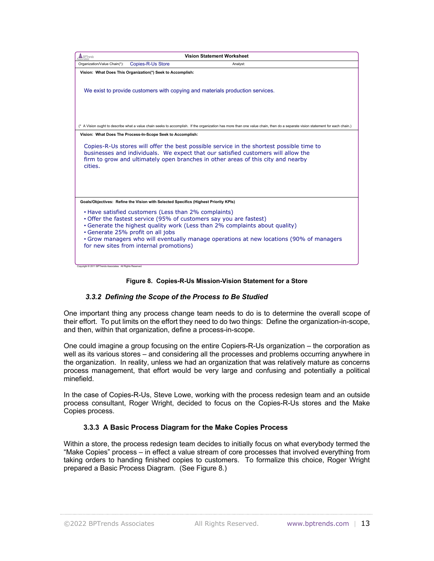| <b>Copies-R-Us Store</b><br>Organization/Value Chain(*):<br>Analyst:<br>Vision: What Does This Organization(*) Seek to Accomplish:                                                                                                                                                                                                                                                 |  |  |  |
|------------------------------------------------------------------------------------------------------------------------------------------------------------------------------------------------------------------------------------------------------------------------------------------------------------------------------------------------------------------------------------|--|--|--|
|                                                                                                                                                                                                                                                                                                                                                                                    |  |  |  |
|                                                                                                                                                                                                                                                                                                                                                                                    |  |  |  |
| We exist to provide customers with copying and materials production services.                                                                                                                                                                                                                                                                                                      |  |  |  |
| (* A Vision ought to describe what a value chain seeks to accomplish. If the organization has more than one value chain, then do a separate vision statement for each chain.)                                                                                                                                                                                                      |  |  |  |
| Vision: What Does The Process-In-Scope Seek to Accomplish:                                                                                                                                                                                                                                                                                                                         |  |  |  |
| Copies-R-Us stores will offer the best possible service in the shortest possible time to<br>businesses and individuals. We expect that our satisfied customers will allow the<br>firm to grow and ultimately open branches in other areas of this city and nearby<br>cities.                                                                                                       |  |  |  |
| Goals/Objectives: Refine the Vision with Selected Specifics (Highest Priority KPIs)                                                                                                                                                                                                                                                                                                |  |  |  |
| • Have satisfied customers (Less than 2% complaints)<br>• Offer the fastest service (95% of customers say you are fastest)<br>• Generate the highest quality work (Less than 2% complaints about quality)<br>Generate 25% profit on all jobs<br>• Grow managers who will eventually manage operations at new locations (90% of managers<br>for new sites from internal promotions) |  |  |  |

### **Figure 8. Copies-R-Us Mission-Vision Statement for a Store**

### *3.3.2 Defining the Scope of the Process to Be Studied*

One important thing any process change team needs to do is to determine the overall scope of their effort. To put limits on the effort they need to do two things: Define the organization-in-scope, and then, within that organization, define a process-in-scope.

One could imagine a group focusing on the entire Copiers-R-Us organization – the corporation as well as its various stores – and considering all the processes and problems occurring anywhere in the organization. In reality, unless we had an organization that was relatively mature as concerns process management, that effort would be very large and confusing and potentially a political minefield.

In the case of Copies-R-Us, Steve Lowe, working with the process redesign team and an outside process consultant, Roger Wright, decided to focus on the Copies-R-Us stores and the Make Copies process.

### **3.3.3 A Basic Process Diagram for the Make Copies Process**

Within a store, the process redesign team decides to initially focus on what everybody termed the "Make Copies" process – in effect a value stream of core processes that involved everything from taking orders to handing finished copies to customers. To formalize this choice, Roger Wright prepared a Basic Process Diagram. (See Figure 8.)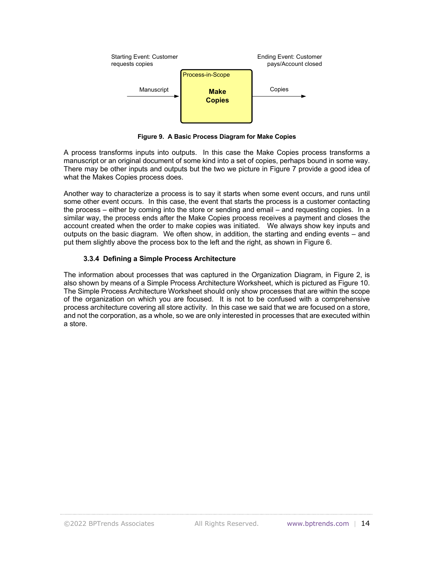

**Figure 9. A Basic Process Diagram for Make Copies**

A process transforms inputs into outputs. In this case the Make Copies process transforms a manuscript or an original document of some kind into a set of copies, perhaps bound in some way. There may be other inputs and outputs but the two we picture in Figure 7 provide a good idea of what the Makes Copies process does.

Another way to characterize a process is to say it starts when some event occurs, and runs until some other event occurs. In this case, the event that starts the process is a customer contacting the process – either by coming into the store or sending and email – and requesting copies. In a similar way, the process ends after the Make Copies process receives a payment and closes the account created when the order to make copies was initiated. We always show key inputs and outputs on the basic diagram. We often show, in addition, the starting and ending events – and put them slightly above the process box to the left and the right, as shown in Figure 6.

# **3.3.4 Defining a Simple Process Architecture**

The information about processes that was captured in the Organization Diagram, in Figure 2, is also shown by means of a Simple Process Architecture Worksheet, which is pictured as Figure 10. The Simple Process Architecture Worksheet should only show processes that are within the scope of the organization on which you are focused. It is not to be confused with a comprehensive process architecture covering all store activity. In this case we said that we are focused on a store, and not the corporation, as a whole, so we are only interested in processes that are executed within a store.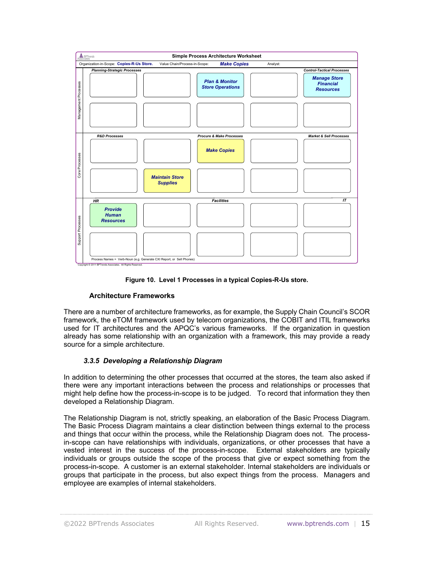

**Figure 10. Level 1 Processes in a typical Copies-R-Us store.**

### **Architecture Frameworks**

There are a number of architecture frameworks, as for example, the Supply Chain Council's SCOR framework, the eTOM framework used by telecom organizations, the COBIT and ITIL frameworks used for IT architectures and the APQC's various frameworks. If the organization in question already has some relationship with an organization with a framework, this may provide a ready source for a simple architecture.

# *3.3.5 Developing a Relationship Diagram*

In addition to determining the other processes that occurred at the stores, the team also asked if there were any important interactions between the process and relationships or processes that might help define how the process-in-scope is to be judged. To record that information they then developed a Relationship Diagram.

The Relationship Diagram is not, strictly speaking, an elaboration of the Basic Process Diagram. The Basic Process Diagram maintains a clear distinction between things external to the process and things that occur within the process, while the Relationship Diagram does not. The processin-scope can have relationships with individuals, organizations, or other processes that have a vested interest in the success of the process-in-scope. External stakeholders are typically individuals or groups outside the scope of the process that give or expect something from the process-in-scope. A customer is an external stakeholder. Internal stakeholders are individuals or groups that participate in the process, but also expect things from the process. Managers and employee are examples of internal stakeholders.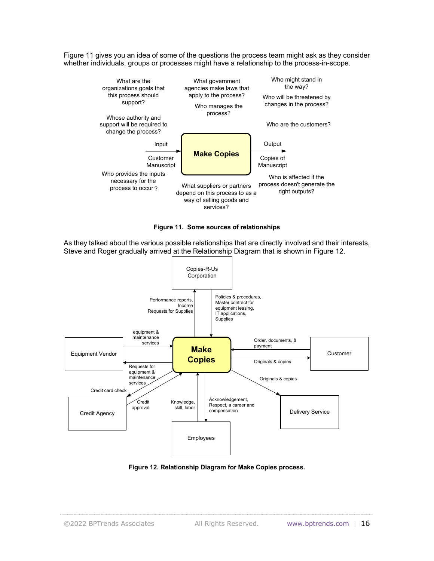Figure 11 gives you an idea of some of the questions the process team might ask as they consider whether individuals, groups or processes might have a relationship to the process-in-scope.





As they talked about the various possible relationships that are directly involved and their interests, Steve and Roger gradually arrived at the Relationship Diagram that is shown in Figure 12.



**Figure 12. Relationship Diagram for Make Copies process.**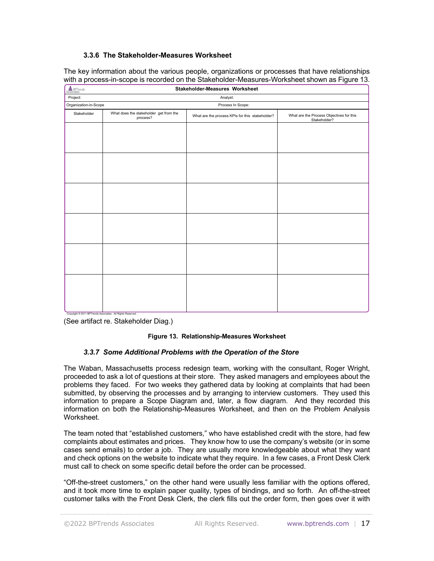# **3.3.6 The Stakeholder-Measures Worksheet**

The key information about the various people, organizations or processes that have relationships with a process-in-scope is recorded on the Stakeholder-Measures-Worksheet shown as Figure 13.

| <b>A</b> BPTrends                                        | Stakeholder-Measures Worksheet                     |                                                 |                                                          |
|----------------------------------------------------------|----------------------------------------------------|-------------------------------------------------|----------------------------------------------------------|
| Project:                                                 | Analyst:                                           |                                                 |                                                          |
| Organization-in-Scope<br>Process In Scope:               |                                                    |                                                 |                                                          |
| Stakeholder                                              | What does the stakeholder get from the<br>process? | What are the process KPIs for this stakeholder? | What are the Process Objectives for this<br>Stakeholder? |
|                                                          |                                                    |                                                 |                                                          |
|                                                          |                                                    |                                                 |                                                          |
|                                                          |                                                    |                                                 |                                                          |
|                                                          |                                                    |                                                 |                                                          |
|                                                          |                                                    |                                                 |                                                          |
|                                                          |                                                    |                                                 |                                                          |
|                                                          |                                                    |                                                 |                                                          |
|                                                          |                                                    |                                                 |                                                          |
|                                                          |                                                    |                                                 |                                                          |
|                                                          |                                                    |                                                 |                                                          |
|                                                          |                                                    |                                                 |                                                          |
|                                                          |                                                    |                                                 |                                                          |
|                                                          |                                                    |                                                 |                                                          |
|                                                          |                                                    |                                                 |                                                          |
|                                                          |                                                    |                                                 |                                                          |
|                                                          |                                                    |                                                 |                                                          |
|                                                          |                                                    |                                                 |                                                          |
|                                                          |                                                    |                                                 |                                                          |
|                                                          |                                                    |                                                 |                                                          |
| Convright @ 2011 RPTrands Associates All Rights Reserved |                                                    |                                                 |                                                          |

(See artifact re. Stakeholder Diag.)

#### **Figure 13. Relationship-Measures Worksheet**

#### *3.3.7 Some Additional Problems with the Operation of the Store*

The Waban, Massachusetts process redesign team, working with the consultant, Roger Wright, proceeded to ask a lot of questions at their store. They asked managers and employees about the problems they faced. For two weeks they gathered data by looking at complaints that had been submitted, by observing the processes and by arranging to interview customers. They used this information to prepare a Scope Diagram and, later, a flow diagram. And they recorded this information on both the Relationship-Measures Worksheet, and then on the Problem Analysis Worksheet.

The team noted that "established customers," who have established credit with the store, had few complaints about estimates and prices. They know how to use the company's website (or in some cases send emails) to order a job. They are usually more knowledgeable about what they want and check options on the website to indicate what they require. In a few cases, a Front Desk Clerk must call to check on some specific detail before the order can be processed.

"Off-the-street customers," on the other hand were usually less familiar with the options offered, and it took more time to explain paper quality, types of bindings, and so forth. An off-the-street customer talks with the Front Desk Clerk, the clerk fills out the order form, then goes over it with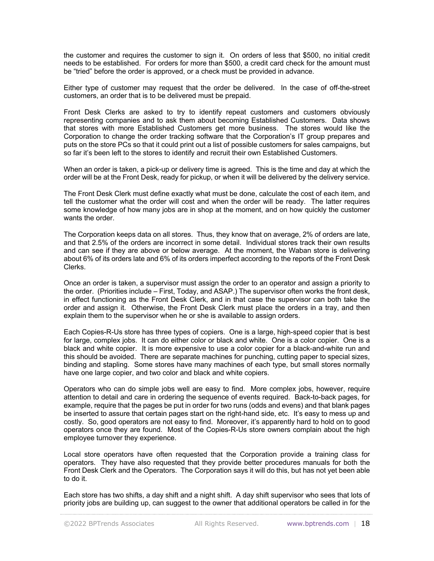the customer and requires the customer to sign it. On orders of less that \$500, no initial credit needs to be established. For orders for more than \$500, a credit card check for the amount must be "tried" before the order is approved, or a check must be provided in advance.

Either type of customer may request that the order be delivered. In the case of off-the-street customers, an order that is to be delivered must be prepaid.

Front Desk Clerks are asked to try to identify repeat customers and customers obviously representing companies and to ask them about becoming Established Customers. Data shows that stores with more Established Customers get more business. The stores would like the Corporation to change the order tracking software that the Corporation's IT group prepares and puts on the store PCs so that it could print out a list of possible customers for sales campaigns, but so far it's been left to the stores to identify and recruit their own Established Customers.

When an order is taken, a pick-up or delivery time is agreed. This is the time and day at which the order will be at the Front Desk, ready for pickup, or when it will be delivered by the delivery service.

The Front Desk Clerk must define exactly what must be done, calculate the cost of each item, and tell the customer what the order will cost and when the order will be ready. The latter requires some knowledge of how many jobs are in shop at the moment, and on how quickly the customer wants the order.

The Corporation keeps data on all stores. Thus, they know that on average, 2% of orders are late, and that 2.5% of the orders are incorrect in some detail. Individual stores track their own results and can see if they are above or below average. At the moment, the Waban store is delivering about 6% of its orders late and 6% of its orders imperfect according to the reports of the Front Desk Clerks.

Once an order is taken, a supervisor must assign the order to an operator and assign a priority to the order. (Priorities include – First, Today, and ASAP.) The supervisor often works the front desk, in effect functioning as the Front Desk Clerk, and in that case the supervisor can both take the order and assign it. Otherwise, the Front Desk Clerk must place the orders in a tray, and then explain them to the supervisor when he or she is available to assign orders.

Each Copies-R-Us store has three types of copiers. One is a large, high-speed copier that is best for large, complex jobs. It can do either color or black and white. One is a color copier. One is a black and white copier. It is more expensive to use a color copier for a black-and-white run and this should be avoided. There are separate machines for punching, cutting paper to special sizes, binding and stapling. Some stores have many machines of each type, but small stores normally have one large copier, and two color and black and white copiers.

Operators who can do simple jobs well are easy to find. More complex jobs, however, require attention to detail and care in ordering the sequence of events required. Back-to-back pages, for example, require that the pages be put in order for two runs (odds and evens) and that blank pages be inserted to assure that certain pages start on the right-hand side, etc. It's easy to mess up and costly. So, good operators are not easy to find. Moreover, it's apparently hard to hold on to good operators once they are found. Most of the Copies-R-Us store owners complain about the high employee turnover they experience.

Local store operators have often requested that the Corporation provide a training class for operators. They have also requested that they provide better procedures manuals for both the Front Desk Clerk and the Operators. The Corporation says it will do this, but has not yet been able to do it.

Each store has two shifts, a day shift and a night shift. A day shift supervisor who sees that lots of priority jobs are building up, can suggest to the owner that additional operators be called in for the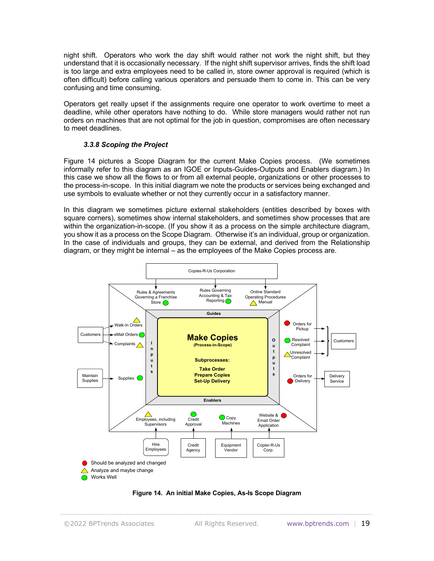night shift. Operators who work the day shift would rather not work the night shift, but they understand that it is occasionally necessary. If the night shift supervisor arrives, finds the shift load is too large and extra employees need to be called in, store owner approval is required (which is often difficult) before calling various operators and persuade them to come in. This can be very confusing and time consuming.

Operators get really upset if the assignments require one operator to work overtime to meet a deadline, while other operators have nothing to do. While store managers would rather not run orders on machines that are not optimal for the job in question, compromises are often necessary to meet deadlines.

### *3.3.8 Scoping the Project*

Figure 14 pictures a Scope Diagram for the current Make Copies process. (We sometimes informally refer to this diagram as an IGOE or Inputs-Guides-Outputs and Enablers diagram.) In this case we show all the flows to or from all external people, organizations or other processes to the process-in-scope. In this initial diagram we note the products or services being exchanged and use symbols to evaluate whether or not they currently occur in a satisfactory manner.

In this diagram we sometimes picture external stakeholders (entities described by boxes with square corners), sometimes show internal stakeholders, and sometimes show processes that are within the organization-in-scope. (If you show it as a process on the simple architecture diagram, you show it as a process on the Scope Diagram. Otherwise it's an individual, group or organization. In the case of individuals and groups, they can be external, and derived from the Relationship diagram, or they might be internal – as the employees of the Make Copies process are.



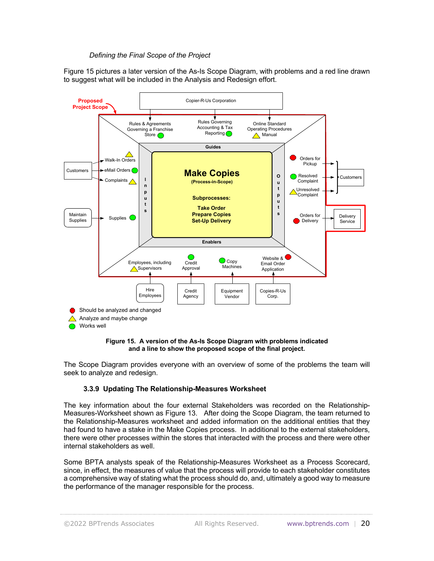### *Defining the Final Scope of the Project*

Figure 15 pictures a later version of the As-Is Scope Diagram, with problems and a red line drawn to suggest what will be included in the Analysis and Redesign effort.





The Scope Diagram provides everyone with an overview of some of the problems the team will seek to analyze and redesign.

### **3.3.9 Updating The Relationship-Measures Worksheet**

The key information about the four external Stakeholders was recorded on the Relationship-Measures-Worksheet shown as Figure 13. After doing the Scope Diagram, the team returned to the Relationship-Measures worksheet and added information on the additional entities that they had found to have a stake in the Make Copies process. In additional to the external stakeholders, there were other processes within the stores that interacted with the process and there were other internal stakeholders as well.

Some BPTA analysts speak of the Relationship-Measures Worksheet as a Process Scorecard, since, in effect, the measures of value that the process will provide to each stakeholder constitutes a comprehensive way of stating what the process should do, and, ultimately a good way to measure the performance of the manager responsible for the process.

©2022 BPTrends Associates All Rights Reserved. www.bptrends.com | 20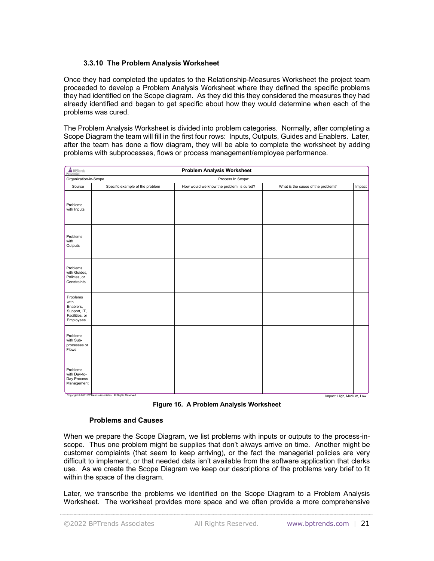### **3.3.10 The Problem Analysis Worksheet**

Once they had completed the updates to the Relationship-Measures Worksheet the project team proceeded to develop a Problem Analysis Worksheet where they defined the specific problems they had identified on the Scope diagram. As they did this they considered the measures they had already identified and began to get specific about how they would determine when each of the problems was cured.

The Problem Analysis Worksheet is divided into problem categories. Normally, after completing a Scope Diagram the team will fill in the first four rows: Inputs, Outputs, Guides and Enablers. Later, after the team has done a flow diagram, they will be able to complete the worksheet by adding problems with subprocesses, flows or process management/employee performance.

| Associates<br><b>Problem Analysis Worksheet</b>                              |                                                            |                                         |                                   |        |
|------------------------------------------------------------------------------|------------------------------------------------------------|-----------------------------------------|-----------------------------------|--------|
| Organization-in-Scope<br>Process In Scope:                                   |                                                            |                                         |                                   |        |
| Source                                                                       | Specific example of the problem                            | How would we know the problem is cured? | What is the cause of the problem? | Impact |
| Problems<br>with Inputs                                                      |                                                            |                                         |                                   |        |
| Problems<br>with<br>Outputs                                                  |                                                            |                                         |                                   |        |
| Problems<br>with Guides,<br>Policies, or<br>Constraints                      |                                                            |                                         |                                   |        |
| Problems<br>with<br>Enablers,<br>Support, IT,<br>Facilities, or<br>Employees |                                                            |                                         |                                   |        |
| Problems<br>with Sub-<br>processes or<br>Flows                               |                                                            |                                         |                                   |        |
| Problems<br>with Day-to-<br>Day Process<br>Management                        | Copyright @ 2011 BPTrends Associates. All Rights Reserved. |                                         | Impact: High, Medium, Low         |        |

**Figure 16. A Problem Analysis Worksheet**

### **Problems and Causes**

When we prepare the Scope Diagram, we list problems with inputs or outputs to the process-inscope. Thus one problem might be supplies that don't always arrive on time. Another might be customer complaints (that seem to keep arriving), or the fact the managerial policies are very difficult to implement, or that needed data isn't available from the software application that clerks use. As we create the Scope Diagram we keep our descriptions of the problems very brief to fit within the space of the diagram.

Later, we transcribe the problems we identified on the Scope Diagram to a Problem Analysis Worksheet. The worksheet provides more space and we often provide a more comprehensive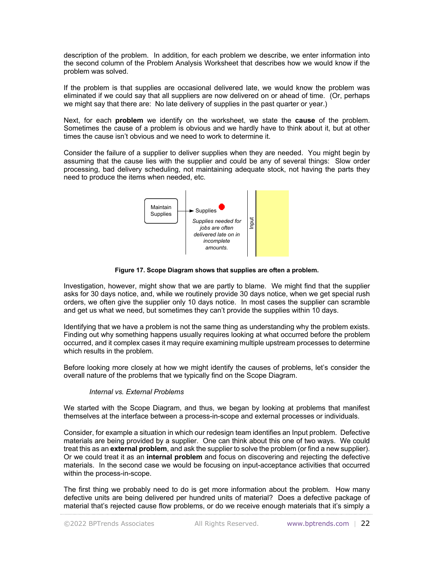description of the problem. In addition, for each problem we describe, we enter information into the second column of the Problem Analysis Worksheet that describes how we would know if the problem was solved.

If the problem is that supplies are occasional delivered late, we would know the problem was eliminated if we could say that all suppliers are now delivered on or ahead of time. (Or, perhaps we might say that there are: No late delivery of supplies in the past quarter or year.)

Next, for each **problem** we identify on the worksheet, we state the **cause** of the problem. Sometimes the cause of a problem is obvious and we hardly have to think about it, but at other times the cause isn't obvious and we need to work to determine it.

Consider the failure of a supplier to deliver supplies when they are needed. You might begin by assuming that the cause lies with the supplier and could be any of several things: Slow order processing, bad delivery scheduling, not maintaining adequate stock, not having the parts they need to produce the items when needed, etc.



**Figure 17. Scope Diagram shows that supplies are often a problem.**

Investigation, however, might show that we are partly to blame. We might find that the supplier asks for 30 days notice, and, while we routinely provide 30 days notice, when we get special rush orders, we often give the supplier only 10 days notice. In most cases the supplier can scramble and get us what we need, but sometimes they can't provide the supplies within 10 days.

Identifying that we have a problem is not the same thing as understanding why the problem exists. Finding out why something happens usually requires looking at what occurred before the problem occurred, and it complex cases it may require examining multiple upstream processes to determine which results in the problem.

Before looking more closely at how we might identify the causes of problems, let's consider the overall nature of the problems that we typically find on the Scope Diagram.

### *Internal vs. External Problems*

We started with the Scope Diagram, and thus, we began by looking at problems that manifest themselves at the interface between a process-in-scope and external processes or individuals.

Consider, for example a situation in which our redesign team identifies an Input problem. Defective materials are being provided by a supplier. One can think about this one of two ways. We could treat this as an **external problem**, and ask the supplier to solve the problem (or find a new supplier). Or we could treat it as an **internal problem** and focus on discovering and rejecting the defective materials. In the second case we would be focusing on input-acceptance activities that occurred within the process-in-scope.

The first thing we probably need to do is get more information about the problem. How many defective units are being delivered per hundred units of material? Does a defective package of material that's rejected cause flow problems, or do we receive enough materials that it's simply a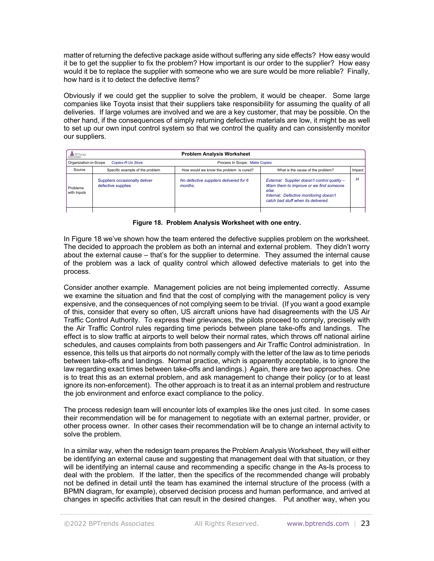matter of returning the defective package aside without suffering any side effects? How easy would it be to get the supplier to fix the problem? How important is our order to the supplier? How easy would it be to replace the supplier with someone who we are sure would be more reliable? Finally, how hard is it to detect the defective items?

Obviously if we could get the supplier to solve the problem, it would be cheaper. Some large companies like Toyota insist that their suppliers take responsibility for assuming the quality of all deliveries. If large volumes are involved and we are a key customer, that may be possible. On the other hand, if the consequences of simply returning defective materials are low, it might be as well to set up our own input control system so that we control the quality and can consistently monitor our suppliers.

| <b>A</b> BPTrends<br>ssociates                    | <b>Problem Analysis Worksheet</b>                    |                                                   |                                                                                                                                                                                   |        |
|---------------------------------------------------|------------------------------------------------------|---------------------------------------------------|-----------------------------------------------------------------------------------------------------------------------------------------------------------------------------------|--------|
| Organization-in-Scope<br><b>Copies-R-Us Store</b> |                                                      | Process In Scope: Make Copies                     |                                                                                                                                                                                   |        |
| Source                                            | Specific example of the problem                      | How would we know the problem is cured?           | What is the cause of the problem?                                                                                                                                                 | Impact |
| Problems<br>with Inputs                           | Suppliers occasionally deliver<br>defective supplies | No defective suppliers delivered for 6<br>months. | External: Supplier doesn't control quality -<br>Warn them to improve or we find someone<br>else.<br>Internal: Defective monitoring doesn't<br>catch bad stuff when its delivered. | H      |
|                                                   |                                                      |                                                   |                                                                                                                                                                                   |        |

**Figure 18. Problem Analysis Worksheet with one entry.**

In Figure 18 we've shown how the team entered the defective supplies problem on the worksheet. The decided to approach the problem as both an internal and external problem. They didn't worry about the external cause – that's for the supplier to determine. They assumed the internal cause of the problem was a lack of quality control which allowed defective materials to get into the process.

Consider another example. Management policies are not being implemented correctly. Assume we examine the situation and find that the cost of complying with the management policy is very expensive, and the consequences of not complying seem to be trivial. (If you want a good example of this, consider that every so often, US aircraft unions have had disagreements with the US Air Traffic Control Authority. To express their grievances, the pilots proceed to comply, precisely with the Air Traffic Control rules regarding time periods between plane take-offs and landings. The effect is to slow traffic at airports to well below their normal rates, which throws off national airline schedules, and causes complaints from both passengers and Air Traffic Control administration. In essence, this tells us that airports do not normally comply with the letter of the law as to time periods between take-offs and landings. Normal practice, which is apparently acceptable, is to ignore the law regarding exact times between take-offs and landings.) Again, there are two approaches. One is to treat this as an external problem, and ask management to change their policy (or to at least ignore its non-enforcement). The other approach is to treat it as an internal problem and restructure the job environment and enforce exact compliance to the policy.

The process redesign team will encounter lots of examples like the ones just cited. In some cases their recommendation will be for management to negotiate with an external partner, provider, or other process owner. In other cases their recommendation will be to change an internal activity to solve the problem.

In a similar way, when the redesign team prepares the Problem Analysis Worksheet, they will either be identifying an external cause and suggesting that management deal with that situation, or they will be identifying an internal cause and recommending a specific change in the As-Is process to deal with the problem. If the latter, then the specifics of the recommended change will probably not be defined in detail until the team has examined the internal structure of the process (with a BPMN diagram, for example), observed decision process and human performance, and arrived at changes in specific activities that can result in the desired changes. Put another way, when you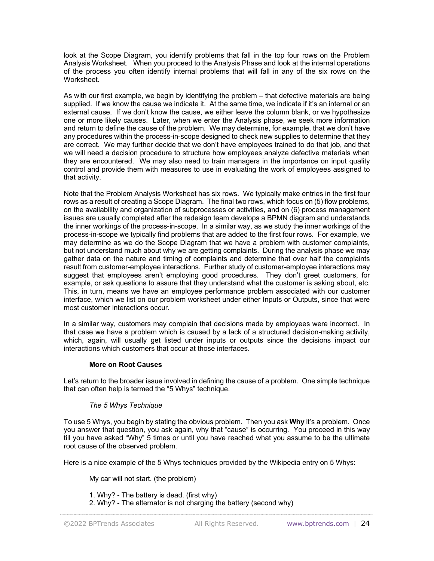look at the Scope Diagram, you identify problems that fall in the top four rows on the Problem Analysis Worksheet. When you proceed to the Analysis Phase and look at the internal operations of the process you often identify internal problems that will fall in any of the six rows on the Worksheet.

As with our first example, we begin by identifying the problem – that defective materials are being supplied. If we know the cause we indicate it. At the same time, we indicate if it's an internal or an external cause. If we don't know the cause, we either leave the column blank, or we hypothesize one or more likely causes. Later, when we enter the Analysis phase, we seek more information and return to define the cause of the problem. We may determine, for example, that we don't have any procedures within the process-in-scope designed to check new supplies to determine that they are correct. We may further decide that we don't have employees trained to do that job, and that we will need a decision procedure to structure how employees analyze defective materials when they are encountered. We may also need to train managers in the importance on input quality control and provide them with measures to use in evaluating the work of employees assigned to that activity.

Note that the Problem Analysis Worksheet has six rows. We typically make entries in the first four rows as a result of creating a Scope Diagram. The final two rows, which focus on (5) flow problems, on the availability and organization of subprocesses or activities, and on (6) process management issues are usually completed after the redesign team develops a BPMN diagram and understands the inner workings of the process-in-scope. In a similar way, as we study the inner workings of the process-in-scope we typically find problems that are added to the first four rows. For example, we may determine as we do the Scope Diagram that we have a problem with customer complaints, but not understand much about why we are getting complaints. During the analysis phase we may gather data on the nature and timing of complaints and determine that over half the complaints result from customer-employee interactions. Further study of customer-employee interactions may suggest that employees aren't employing good procedures. They don't greet customers, for example, or ask questions to assure that they understand what the customer is asking about, etc. This, in turn, means we have an employee performance problem associated with our customer interface, which we list on our problem worksheet under either Inputs or Outputs, since that were most customer interactions occur.

In a similar way, customers may complain that decisions made by employees were incorrect. In that case we have a problem which is caused by a lack of a structured decision-making activity, which, again, will usually get listed under inputs or outputs since the decisions impact our interactions which customers that occur at those interfaces.

### **More on Root Causes**

Let's return to the broader issue involved in defining the cause of a problem. One simple technique that can often help is termed the "5 Whys" technique.

# *The 5 Whys Technique*

To use 5 Whys, you begin by stating the obvious problem. Then you ask **Why** it's a problem. Once you answer that question, you ask again, why that "cause" is occurring. You proceed in this way till you have asked "Why" 5 times or until you have reached what you assume to be the ultimate root cause of the observed problem.

Here is a nice example of the 5 Whys techniques provided by the Wikipedia entry on 5 Whys:

My car will not start. (the problem)

1. Why? - The battery is dead. (first why)

2. Why? - The alternator is not charging the battery (second why)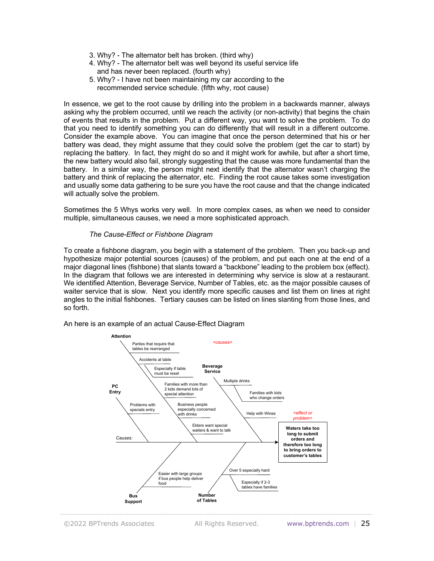- 3. Why? The alternator belt has broken. (third why)
- 4. Why? The alternator belt was well beyond its useful service life and has never been replaced. (fourth why)
- 5. Why? I have not been maintaining my car according to the recommended service schedule. (fifth why, root cause)

In essence, we get to the root cause by drilling into the problem in a backwards manner, always asking why the problem occurred, until we reach the activity (or non-activity) that begins the chain of events that results in the problem. Put a different way, you want to solve the problem. To do that you need to identify something you can do differently that will result in a different outcome. Consider the example above. You can imagine that once the person determined that his or her battery was dead, they might assume that they could solve the problem (get the car to start) by replacing the battery. In fact, they might do so and it might work for awhile, but after a short time, the new battery would also fail, strongly suggesting that the cause was more fundamental than the battery. In a similar way, the person might next identify that the alternator wasn't charging the battery and think of replacing the alternator, etc. Finding the root cause takes some investigation and usually some data gathering to be sure you have the root cause and that the change indicated will actually solve the problem.

Sometimes the 5 Whys works very well. In more complex cases, as when we need to consider multiple, simultaneous causes, we need a more sophisticated approach.

### *The Cause-Effect or Fishbone Diagram*

To create a fishbone diagram, you begin with a statement of the problem. Then you back-up and hypothesize major potential sources (causes) of the problem, and put each one at the end of a major diagonal lines (fishbone) that slants toward a "backbone" leading to the problem box (effect). In the diagram that follows we are interested in determining why service is slow at a restaurant. We identified Attention, Beverage Service, Number of Tables, etc. as the major possible causes of waiter service that is slow. Next you identify more specific causes and list them on lines at right angles to the initial fishbones. Tertiary causes can be listed on lines slanting from those lines, and so forth.

An here is an example of an actual Cause-Effect Diagram

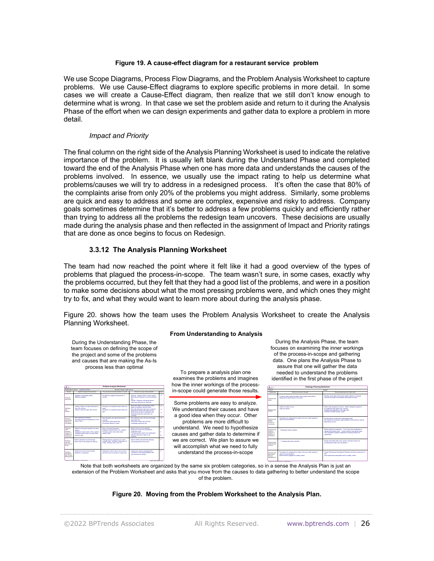#### **Figure 19. A cause-effect diagram for a restaurant service problem**

We use Scope Diagrams, Process Flow Diagrams, and the Problem Analysis Worksheet to capture problems. We use Cause-Effect diagrams to explore specific problems in more detail. In some cases we will create a Cause-Effect diagram, then realize that we still don't know enough to determine what is wrong. In that case we set the problem aside and return to it during the Analysis Phase of the effort when we can design experiments and gather data to explore a problem in more detail.

### *Impact and Priority*

The final column on the right side of the Analysis Planning Worksheet is used to indicate the relative importance of the problem. It is usually left blank during the Understand Phase and completed toward the end of the Analysis Phase when one has more data and understands the causes of the problems involved. In essence, we usually use the impact rating to help us determine what problems/causes we will try to address in a redesigned process. It's often the case that 80% of the complaints arise from only 20% of the problems you might address. Similarly, some problems are quick and easy to address and some are complex, expensive and risky to address. Company goals sometimes determine that it's better to address a few problems quickly and efficiently rather than trying to address all the problems the redesign team uncovers. These decisions are usually made during the analysis phase and then reflected in the assignment of Impact and Priority ratings that are done as once begins to focus on Redesign.

# **3.3.12 The Analysis Planning Worksheet**

Impact: High, Medium, Low

The team had now reached the point where it felt like it had a good overview of the types of problems that plagued the process-in-scope. The team wasn't sure, in some cases, exactly why the problems occurred, but they felt that they had a good list of the problems, and were in a position to make some decisions about what the most pressing problems were, and which ones they might try to fix, and what they would want to learn more about during the analysis phase.

Figure 20. shows how the team uses the Problem Analysis Worksheet to create the Analysis Planning Worksheet.

#### **From Understanding to Analysis**

During the Understanding Phase, the team focuses on defining the scope of the project and some of the problems and causes that are making the As-Is process less than optimal

| Arreste                                                                                        |                                                                                                                                                                    | <b>Problem Analysis Worksheet</b>                                                                                           |                                                                                                                                                                                                                                                                     |                |
|------------------------------------------------------------------------------------------------|--------------------------------------------------------------------------------------------------------------------------------------------------------------------|-----------------------------------------------------------------------------------------------------------------------------|---------------------------------------------------------------------------------------------------------------------------------------------------------------------------------------------------------------------------------------------------------------------|----------------|
| Oranization in Scope<br>Contact Dutch Street<br>Process in Scope: Make Copies                  |                                                                                                                                                                    |                                                                                                                             |                                                                                                                                                                                                                                                                     |                |
| Source                                                                                         | Specific example of the problem                                                                                                                                    | How would we know the problem is cured?                                                                                     | What's fire cause of the problem?                                                                                                                                                                                                                                   | Impact         |
| <b>Donklook</b><br>with Inputs.                                                                | Suppliers occasionally deliver<br>defective supplies                                                                                                               | No defective augglers delivered for 6<br>months.                                                                            | External: Supplier doesn't control quality -<br>Warn them to improve or we find someone<br>abus.<br>Internal: Defective monitoring doesn't<br>Funesiate of material flute had drawn                                                                                 | $\overline{a}$ |
| <b>Donklook</b><br>with.<br><b>Outputs</b>                                                     | Internal: Crokes not ready /delivered on<br>time (6% of fime)<br>Internal: Order not right (6% of time)                                                            | No miects or compleirts about orders not<br>mady.<br>No miects or complaints about orders not<br>date                       | Some late orders occur because clerks<br>agree to unmatizity delivery times.<br>Most late delivered orders due to delivery<br>grouping and routes that take too long.<br>Order errors are due to employees not<br>following instructions and clinks not<br>checking | u<br>u<br>u    |
| <b>Donklook</b><br>with Guidea.<br>Policies or<br>Constraints                                  | New coerators not trained<br>Procedures Manual Insdequate for Front<br><b>Controlledge</b>                                                                         | New Operators are trained and perform<br>correctly<br>Front Deak Clerks agree that<br><b>Develope Manual is could</b>       | New Operators (ack akil and knowledge)<br>mouleed for job<br>Front Deak Clerks lack skill and<br>Anowledge required for Job                                                                                                                                         | u              |
| <b>Donhiums</b><br>with.<br><b>Continue</b><br>Support, IT.<br><b>Continue</b> or<br>Employees | Difficult to find good coerators at salary<br><b>Colleged</b><br>Employee tumpuer high (10% / quarter)<br>Tracking availant does not notify when<br>pickup is late | Easy to find good constitute<br>Employee tumpuar below 2% / Quarter<br>Tracking availant does notify when<br>pickup is late | Need to train our own coerators<br>Employees need to be rewarded for<br>continuing on job<br>Tracking avaters needs to be redesigned<br>and late information nearly to be<br><b>Cardiacad</b>                                                                       | u<br>и<br>u    |
| <b>Donklook</b><br>with Guita<br><b>NOVARIALIST</b><br>Down.                                   | Delivery planning not good enough<br>Orders need to be grouped for defuery                                                                                         | Planning done by aupervisor in N time<br>currently used. Number of deliveries cut<br>in half. Delivery time cut by 1/2.     | Need to define and automate planning<br>and grouping decision process                                                                                                                                                                                               | $\overline{a}$ |
| <b>Donklook</b><br>with Day-to-<br>Day Process<br>Management                                   | Supervisors don't provide enquals<br>feedback to employees                                                                                                         | Employees need to report more concern-<br>with their work on the part of supervisors.                                       | <b>Consolidates meet to understand the</b><br>importance of providing feedback and<br>get reinforced for doing it.                                                                                                                                                  | и              |

To prepare a analysis plan one examines the problems and imagines how the inner workings of the processin-scope could generate those results.

Some problems are easy to analyze. We understand their causes and have a good idea when they occur. Other

problems are more difficult to understand. We need to hypothesize causes and gather data to determine if we are correct. We plan to assure we will accomplish what we need to fully understand the process-in-scope

During the Analysis Phase, the team focuses on examining the inner workings of the process-in-scope and gathering data. One plans the Analysis Phase to assure that one will gather the data needed to understand the problems identified in the first phase of the project

| A trives                                                                             | Redesign Planning Worksheet                                                                                                                 |                                                                                                                                                                                                                     |  |
|--------------------------------------------------------------------------------------|---------------------------------------------------------------------------------------------------------------------------------------------|---------------------------------------------------------------------------------------------------------------------------------------------------------------------------------------------------------------------|--|
| Project:                                                                             | <b>Analyst</b>                                                                                                                              |                                                                                                                                                                                                                     |  |
| Grassholder                                                                          | What do we need to change?                                                                                                                  | Wat redesign approach might work                                                                                                                                                                                    |  |
| <b>Deskipera with</b><br>Inputs                                                      | Customer often yaque and desk clerk accepts order without<br>being precise about what is to be done                                         | Develop visual aide to help clerk explain cotions to customer<br>(like the one used on the website that seems to work.)                                                                                             |  |
| <b>Deskipera with</b><br><b>Outputs</b>                                              | Order not mady on time.<br><b>Order not perfect</b>                                                                                         | Better order assignment evatem. Better training for coerators.<br>An additional high speed copy machine<br>Bringing more coerations on for night shift<br>Incentive for better quality control                      |  |
| Problems with<br>Guidae<br>Policies or<br>Constraints:                               | Procedures for assignment of orders and use of night coerators.<br>ment to be reconsidered                                                  | Provide help for supervisors in allocating orders .<br>Get supervisors to bring on night coerators more quickly to assure<br>curious closes on times                                                                |  |
| Problems with<br><b>Crabiers</b><br><b>Discount of</b><br>Facilities or<br>Employees | Employees make mistakes                                                                                                                     | Better training for employees . Cross train more employees to<br>coerste high speed copier . Acquire another high speed copier .<br>Get Corporate to pregare Assignment Planning software for<br><b>Bubervisors</b> |  |
| <b>Deskipera with</b><br>Subprocesses<br>or Down                                     | 1- Change order entry activities.                                                                                                           | Design automated order entry system and have system do<br>scheduling and order cost calculations                                                                                                                    |  |
| Problems with<br>Day-to-Day<br>Dmragg<br><b>Management</b>                           | Procedures for assignment of orders and use of night coerators.<br>meant to his movements and<br>Need incentive program for quality control | Create Planning and Assignment Software and teach supervisors to<br><b>COLOR</b><br>Have supervisors keep better track of quality control                                                                           |  |

Note that both worksheets are organized by the same six problem categories, so in a sense the Analysis Plan is just an extension of the Problem Worksheet and asks that you move from the causes to data gathering to better understand the scope of the problem.

#### **Figure 20. Moving from the Problem Worksheet to the Analysis Plan.**

Copyright © 2011 BPTrends Associates . All Rights Reserved .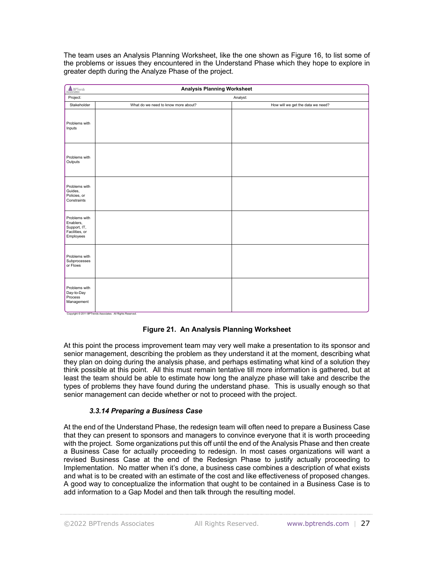The team uses an Analysis Planning Worksheet, like the one shown as Figure 16, to list some of the problems or issues they encountered in the Understand Phase which they hope to explore in greater depth during the Analyze Phase of the project.

| ASSociates                                                                | <b>Analysis Planning Worksheet</b>                         |                                   |
|---------------------------------------------------------------------------|------------------------------------------------------------|-----------------------------------|
| Project:                                                                  |                                                            | Analyst:                          |
| Stakeholder                                                               | What do we need to know more about?                        | How will we get the data we need? |
| Problems with<br>Inputs                                                   |                                                            |                                   |
| Problems with<br>Outputs                                                  |                                                            |                                   |
| Problems with<br>Guides,<br>Policies, or<br>Constraints                   |                                                            |                                   |
| Problems with<br>Enablers,<br>Support, IT,<br>Facilities, or<br>Employees |                                                            |                                   |
| Problems with<br>Subprocesses<br>or Flows                                 |                                                            |                                   |
| Problems with<br>Day-to-Day<br>Process<br>Management                      | Copyright © 2011 BPTrends Associates. All Rights Reserved. |                                   |

# **Figure 21. An Analysis Planning Worksheet**

At this point the process improvement team may very well make a presentation to its sponsor and senior management, describing the problem as they understand it at the moment, describing what they plan on doing during the analysis phase, and perhaps estimating what kind of a solution they think possible at this point. All this must remain tentative till more information is gathered, but at least the team should be able to estimate how long the analyze phase will take and describe the types of problems they have found during the understand phase. This is usually enough so that senior management can decide whether or not to proceed with the project.

### *3.3.14 Preparing a Business Case*

At the end of the Understand Phase, the redesign team will often need to prepare a Business Case that they can present to sponsors and managers to convince everyone that it is worth proceeding with the project. Some organizations put this off until the end of the Analysis Phase and then create a Business Case for actually proceeding to redesign. In most cases organizations will want a revised Business Case at the end of the Redesign Phase to justify actually proceeding to Implementation. No matter when it's done, a business case combines a description of what exists and what is to be created with an estimate of the cost and like effectiveness of proposed changes. A good way to conceptualize the information that ought to be contained in a Business Case is to add information to a Gap Model and then talk through the resulting model.

©2022 BPTrends Associates All Rights Reserved. www.bptrends.com | 27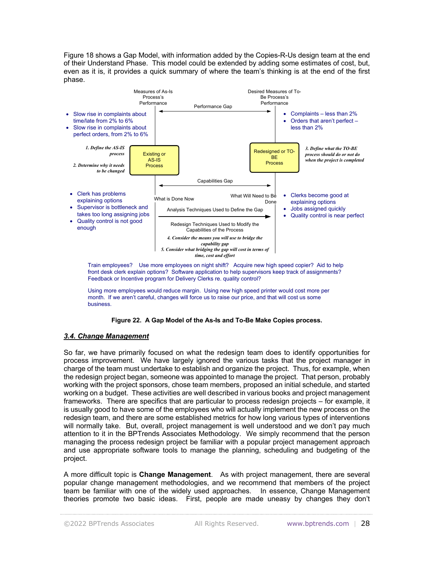Figure 18 shows a Gap Model, with information added by the Copies-R-Us design team at the end of their Understand Phase. This model could be extended by adding some estimates of cost, but, even as it is, it provides a quick summary of where the team's thinking is at the end of the first phase.



Using more employees would reduce margin. Using new high speed printer would cost more per month. If we aren't careful, changes will force us to raise our price, and that will cost us some business.



#### *3.4. Change Management*

So far, we have primarily focused on what the redesign team does to identify opportunities for process improvement. We have largely ignored the various tasks that the project manager in charge of the team must undertake to establish and organize the project. Thus, for example, when the redesign project began, someone was appointed to manage the project. That person, probably working with the project sponsors, chose team members, proposed an initial schedule, and started working on a budget. These activities are well described in various books and project management frameworks. There are specifics that are particular to process redesign projects – for example, it is usually good to have some of the employees who will actually implement the new process on the redesign team, and there are some established metrics for how long various types of interventions will normally take. But, overall, project management is well understood and we don't pay much attention to it in the BPTrends Associates Methodology. We simply recommend that the person managing the process redesign project be familiar with a popular project management approach and use appropriate software tools to manage the planning, scheduling and budgeting of the project.

A more difficult topic is **Change Management**. As with project management, there are several popular change management methodologies, and we recommend that members of the project team be familiar with one of the widely used approaches. In essence, Change Management theories promote two basic ideas. First, people are made uneasy by changes they don't